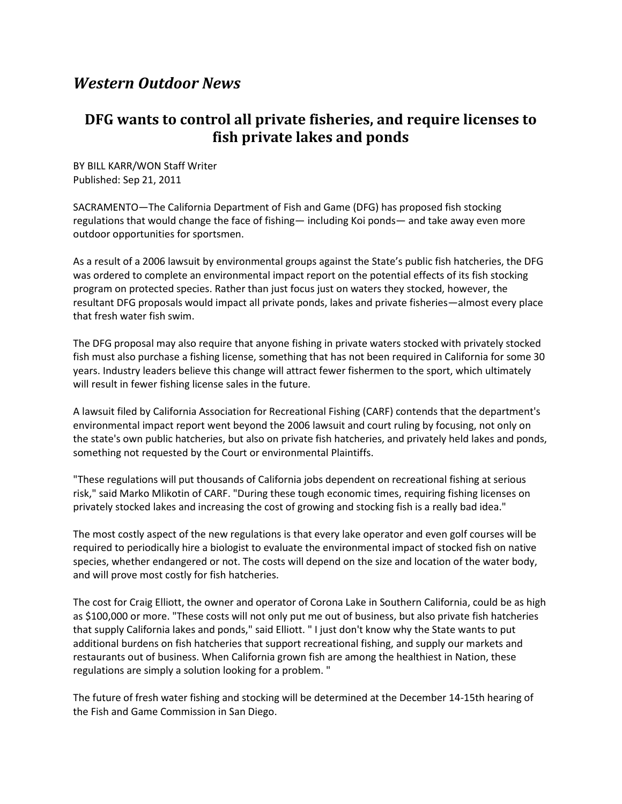## *Western Outdoor News*

## **DFG wants to control all private fisheries, and require licenses to fish private lakes and ponds**

BY BILL KARR/WON Staff Writer Published: Sep 21, 2011

SACRAMENTO—The California Department of Fish and Game (DFG) has proposed fish stocking regulations that would change the face of fishing— including Koi ponds— and take away even more outdoor opportunities for sportsmen.

As a result of a 2006 lawsuit by environmental groups against the State's public fish hatcheries, the DFG was ordered to complete an environmental impact report on the potential effects of its fish stocking program on protected species. Rather than just focus just on waters they stocked, however, the resultant DFG proposals would impact all private ponds, lakes and private fisheries—almost every place that fresh water fish swim.

The DFG proposal may also require that anyone fishing in private waters stocked with privately stocked fish must also purchase a fishing license, something that has not been required in California for some 30 years. Industry leaders believe this change will attract fewer fishermen to the sport, which ultimately will result in fewer fishing license sales in the future.

A lawsuit filed by California Association for Recreational Fishing (CARF) contends that the department's environmental impact report went beyond the 2006 lawsuit and court ruling by focusing, not only on the state's own public hatcheries, but also on private fish hatcheries, and privately held lakes and ponds, something not requested by the Court or environmental Plaintiffs.

"These regulations will put thousands of California jobs dependent on recreational fishing at serious risk," said Marko Mlikotin of CARF. "During these tough economic times, requiring fishing licenses on privately stocked lakes and increasing the cost of growing and stocking fish is a really bad idea."

The most costly aspect of the new regulations is that every lake operator and even golf courses will be required to periodically hire a biologist to evaluate the environmental impact of stocked fish on native species, whether endangered or not. The costs will depend on the size and location of the water body, and will prove most costly for fish hatcheries.

The cost for Craig Elliott, the owner and operator of Corona Lake in Southern California, could be as high as \$100,000 or more. "These costs will not only put me out of business, but also private fish hatcheries that supply California lakes and ponds," said Elliott. " I just don't know why the State wants to put additional burdens on fish hatcheries that support recreational fishing, and supply our markets and restaurants out of business. When California grown fish are among the healthiest in Nation, these regulations are simply a solution looking for a problem. "

The future of fresh water fishing and stocking will be determined at the December 14-15th hearing of the Fish and Game Commission in San Diego.